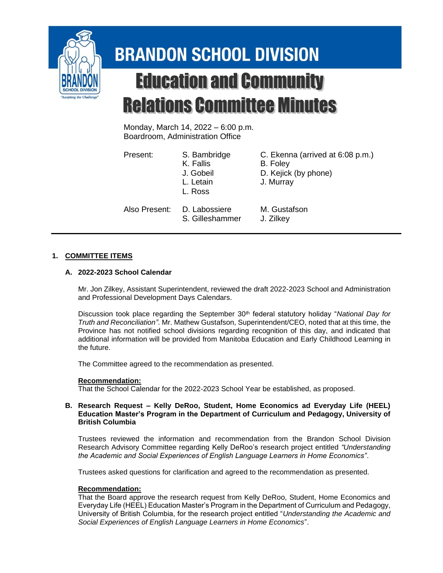

# **BRANDON SCHOOL DIVISION Education and Community Relations Committee Minutes**

Monday, March 14, 2022 – 6:00 p.m. Boardroom, Administration Office

Present: S. Bambridge C. Ekenna (arrived at 6:08 p.m.)

- K. Fallis B. Foley J. Gobeil D. Kejick (by phone)
- L. Letain J. Murray L. Ross

Also Present: D. Labossiere M. Gustafson

S. Gilleshammer J. Zilkey

## **1. COMMITTEE ITEMS**

## **A. 2022-2023 School Calendar**

Mr. Jon Zilkey, Assistant Superintendent, reviewed the draft 2022-2023 School and Administration and Professional Development Days Calendars.

Discussion took place regarding the September 30th federal statutory holiday "*National Day for Truth and Reconciliation"*. Mr. Mathew Gustafson, Superintendent/CEO, noted that at this time, the Province has not notified school divisions regarding recognition of this day, and indicated that additional information will be provided from Manitoba Education and Early Childhood Learning in the future.

The Committee agreed to the recommendation as presented.

## **Recommendation:**

That the School Calendar for the 2022-2023 School Year be established, as proposed.

### **B. Research Request – Kelly DeRoo, Student, Home Economics ad Everyday Life (HEEL) Education Master's Program in the Department of Curriculum and Pedagogy, University of British Columbia**

Trustees reviewed the information and recommendation from the Brandon School Division Research Advisory Committee regarding Kelly DeRoo's research project entitled *"Understanding the Academic and Social Experiences of English Language Learners in Home Economics"*.

Trustees asked questions for clarification and agreed to the recommendation as presented.

## **Recommendation:**

That the Board approve the research request from Kelly DeRoo, Student, Home Economics and Everyday Life (HEEL) Education Master's Program in the Department of Curriculum and Pedagogy, University of British Columbia, for the research project entitled "*Understanding the Academic and Social Experiences of English Language Learners in Home Economics*".